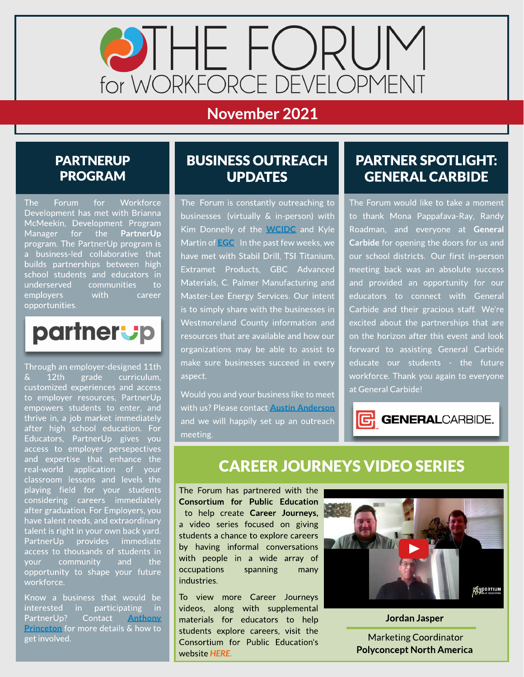

## November 2021

#### **PARTNERUP** PROGRAM

The Forum for Workforce Development has met with Brianna McMeekin, Development Program Manager for the PartnerUp program. The PartnerUp program is a business-led collaborative that builds partnerships between high school students and educators in underserved communities to employers with career opportunities.

# partnerup

Through an employer-designed 11th & 12th grade curriculum, customized experiences and access to employer resources, PartnerUp empowers students to enter, and thrive in, a job market immediately after high school education. For Educators, PartnerUp gives you access to employer persepectives and expertise that enhance the real-world application of your classroom lessons and levels the playing field for your students considering careers immediately after graduation. For Employers, you have talent needs, and extraordinary talent is right in your own back yard. PartnerUp provides immediate access to thousands of students in your community and the opportunity to shape your future workforce.

Know a business that would be interested in participating in PartnerUp? Contact [Anthony](mailto:aprinceton@egcw.org) [Princeton](mailto:aprinceton@egcw.org) for more details & how to get involved.

#### **BUSINESS OUTREACH** UPDATES

The Forum is constantly outreaching to businesses (virtually & in-person) with Kim Donnelly of the **[WCIDC](https://www.co.westmoreland.pa.us/669/WCIDC)** and Kyle Martin of **[EGC](https://egcw.org/)**. In the past few weeks, we have met with Stabil Drill, TSI Titanium, Extramet Products, GBC Advanced Materials, C. Palmer Manufacturing and Master-Lee Energy Services. Our intent is to simply share with the businesses in Westmoreland County information and resources that are available and how our organizations may be able to assist to make sure businesses succeed in every aspect.

Would you and your business like to meet with us? Please contact **[Austin](mailto:aanderson@egcw.org) [Anderson](mailto:aanderson@egcw.org)** and we will happily set up an outreach meeting.

#### PARTNER SPOTLIGHT: GENERAL CARBIDE

The Forum would like to take a moment to thank Mona Pappafava-Ray, Randy Roadman, and everyone at General Carbide for opening the doors for us and our school districts. Our first in-person meeting back was an absolute success and provided an opportunity for our educators to connect with General Carbide and their gracious staff. We're excited about the partnerships that are on the horizon after this event and look forward to assisting General Carbide educate our students - the future workforce. Thank you again to everyone at General Carbide!



# **CAREER JOURNEYS VIDEO SERIES**

The Forum has partnered with the Consortium for Public Education to help create Career Journeys, a video series focused on giving students a chance to explore careers by having informal conversations with people in a wide array of occupations spanning many industries.

To view more Career Journeys videos, along with supplemental materials for educators to help students explore careers, visit the Consortium for Public Education's website **[HERE.](https://www.theconsortiumforpubliceducation.org/career-journeys/)**



Jordan Jasper .

Marketing Coordinator Polyconcept North America